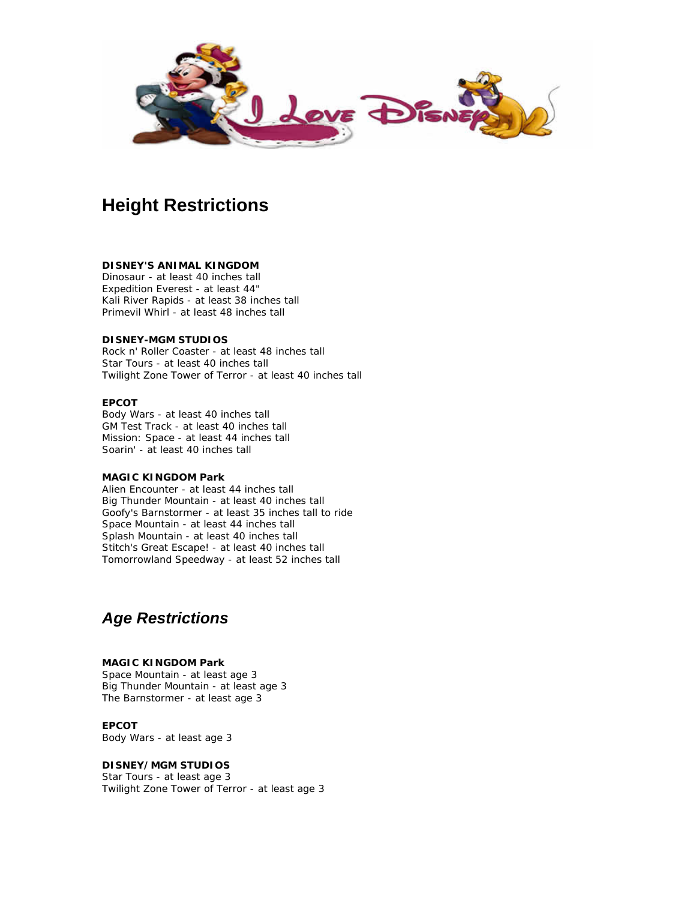

## **Height Restrictions**

#### **DISNEY'S ANIMAL KINGDOM**

Dinosaur - at least 40 inches tall Expedition Everest - at least 44" Kali River Rapids - at least 38 inches tall Primevil Whirl - at least 48 inches tall

#### **DISNEY-MGM STUDIOS**

Rock n' Roller Coaster - at least 48 inches tall Star Tours - at least 40 inches tall Twilight Zone Tower of Terror - at least 40 inches tall

#### **EPCOT**

Body Wars - at least 40 inches tall GM Test Track - at least 40 inches tall Mission: Space - at least 44 inches tall Soarin' - at least 40 inches tall

#### **MAGIC KINGDOM Park**

Alien Encounter - at least 44 inches tall Big Thunder Mountain - at least 40 inches tall Goofy's Barnstormer - at least 35 inches tall to ride Space Mountain - at least 44 inches tall Splash Mountain - at least 40 inches tall Stitch's Great Escape! - at least 40 inches tall Tomorrowland Speedway - at least 52 inches tall

### *Age Restrictions*

#### **MAGIC KINGDOM Park**

Space Mountain - at least age 3 Big Thunder Mountain - at least age 3 The Barnstormer - at least age 3

#### **EPCOT**

Body Wars - at least age 3

#### **DISNEY/MGM STUDIOS**

Star Tours - at least age 3 Twilight Zone Tower of Terror - at least age 3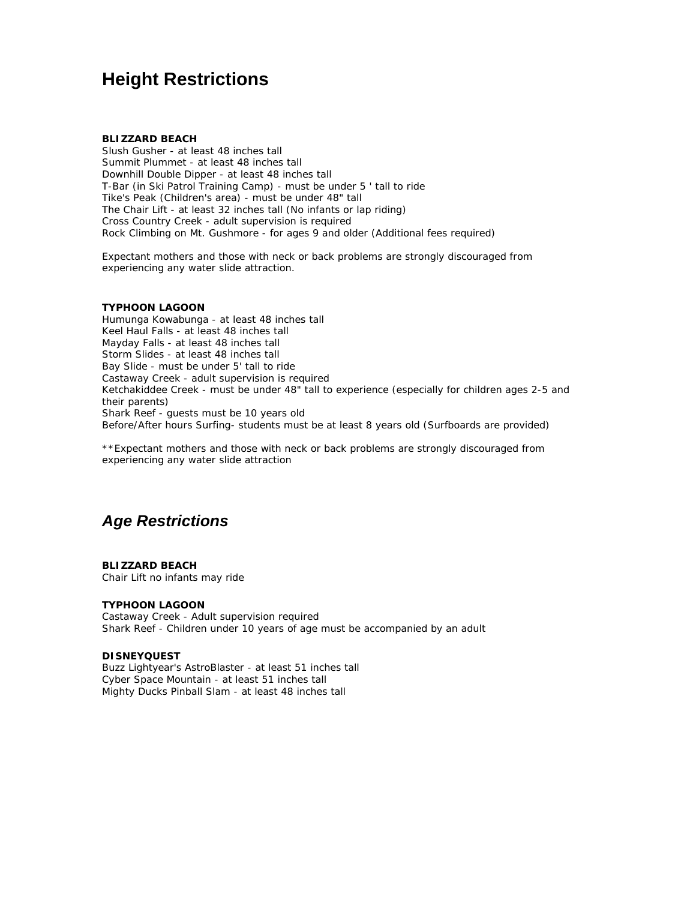## **Height Restrictions**

#### **BLIZZARD BEACH**

Slush Gusher - at least 48 inches tall Summit Plummet - at least 48 inches tall Downhill Double Dipper - at least 48 inches tall T-Bar (in Ski Patrol Training Camp) - must be under 5 ' tall to ride Tike's Peak (Children's area) - must be under 48" tall The Chair Lift - at least 32 inches tall (No infants or lap riding) Cross Country Creek - adult supervision is required Rock Climbing on Mt. Gushmore - for ages 9 and older (Additional fees required)

Expectant mothers and those with neck or back problems are strongly discouraged from experiencing any water slide attraction.

#### **TYPHOON LAGOON**

Humunga Kowabunga - at least 48 inches tall Keel Haul Falls - at least 48 inches tall Mayday Falls - at least 48 inches tall Storm Slides - at least 48 inches tall Bay Slide - must be under 5' tall to ride Castaway Creek - adult supervision is required Ketchakiddee Creek - must be under 48" tall to experience (especially for children ages 2-5 and their parents) Shark Reef - guests must be 10 years old Before/After hours Surfing- students must be at least 8 years old (Surfboards are provided)

\*\*Expectant mothers and those with neck or back problems are strongly discouraged from experiencing any water slide attraction

## *Age Restrictions*

**BLIZZARD BEACH** Chair Lift no infants may ride

#### **TYPHOON LAGOON**

Castaway Creek - Adult supervision required Shark Reef - Children under 10 years of age must be accompanied by an adult

#### **DISNEYQUEST**

Buzz Lightyear's AstroBlaster - at least 51 inches tall Cyber Space Mountain - at least 51 inches tall Mighty Ducks Pinball Slam - at least 48 inches tall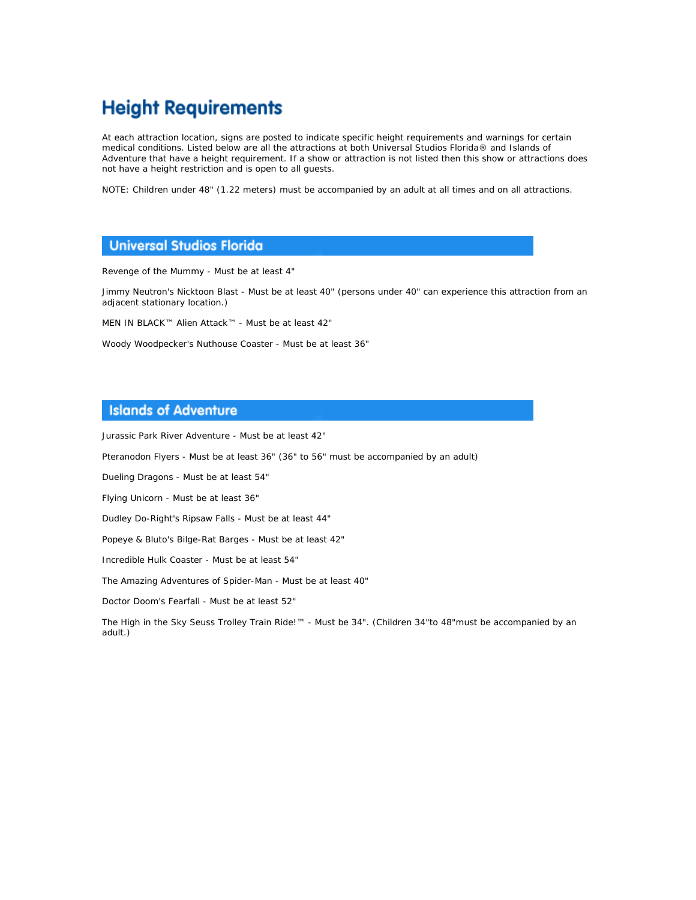# **Height Requirements**

At each attraction location, signs are posted to indicate specific height requirements and warnings for certain medical conditions. Listed below are all the attractions at both Universal Studios Florida® and Islands of Adventure that have a height requirement. If a show or attraction is not listed then this show or attractions does not have a height restriction and is open to all guests.

NOTE: Children under 48" (1.22 meters) must be accompanied by an adult at all times and on all attractions.

#### **Universal Studios Florida**

Revenge of the Mummy - Must be at least 4"

Jimmy Neutron's Nicktoon Blast - Must be at least 40" (persons under 40" can experience this attraction from an adjacent stationary location.)

MEN IN BLACK™ Alien Attack™ - Must be at least 42"

Woody Woodpecker's Nuthouse Coaster - Must be at least 36"

### **Islands of Adventure**

Jurassic Park River Adventure - Must be at least 42"

Pteranodon Flyers - Must be at least 36" (36" to 56" must be accompanied by an adult)

Dueling Dragons - Must be at least 54"

Flying Unicorn - Must be at least 36"

Dudley Do-Right's Ripsaw Falls - Must be at least 44"

Popeye & Bluto's Bilge-Rat Barges - Must be at least 42"

Incredible Hulk Coaster - Must be at least 54"

The Amazing Adventures of Spider-Man - Must be at least 40"

Doctor Doom's Fearfall - Must be at least 52"

The High in the Sky Seuss Trolley Train Ride!™ - Must be 34". (Children 34"to 48"must be accompanied by an adult.)